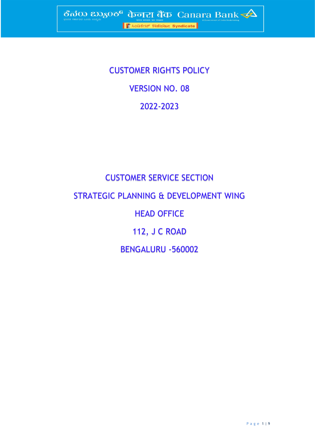CUSTOMER RIGHTS POLICY VERSION NO. 08 2022-2023

# CUSTOMER SERVICE SECTION STRATEGIC PLANNING & DEVELOPMENT WING HEAD OFFICE 112, J C ROAD BENGALURU -560002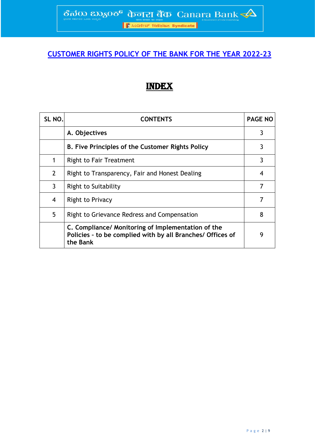## **CUSTOMER RIGHTS POLICY OF THE BANK FOR THE YEAR 2022-23**

## INDEX

| SL <sub>NO</sub> . | <b>CONTENTS</b>                                                                                                              | <b>PAGE NO</b> |
|--------------------|------------------------------------------------------------------------------------------------------------------------------|----------------|
|                    | A. Objectives                                                                                                                | 3              |
|                    | B. Five Principles of the Customer Rights Policy                                                                             |                |
| 1                  | Right to Fair Treatment                                                                                                      | 3              |
| $\overline{2}$     | Right to Transparency, Fair and Honest Dealing                                                                               | 4              |
| $\mathbf{3}$       | <b>Right to Suitability</b>                                                                                                  | 7              |
| 4                  | Right to Privacy                                                                                                             | 7              |
| 5                  | Right to Grievance Redress and Compensation                                                                                  | 8              |
|                    | C. Compliance/ Monitoring of Implementation of the<br>Policies - to be complied with by all Branches/ Offices of<br>the Bank | g              |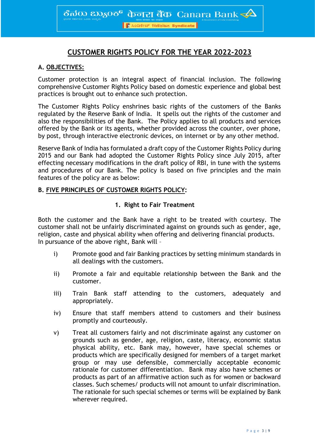ठैत $\rm{d}$ 0)  $\rm{d}$ 20 $\rm{d}$ 5 $\rm{d}$   $\rm{d}$   $\rm{d}$   $\rm{d}$   $\rm{d}$   $\rm{d}$   $\rm{d}$   $\rm{d}$   $\rm{d}$   $\rm{d}$   $\rm{d}$   $\rm{d}$   $\rm{d}$   $\rm{d}$   $\rm{d}$   $\rm{d}$   $\rm{d}$   $\rm{d}$   $\rm{d}$   $\rm{d}$   $\rm{d}$   $\rm{d}$   $\rm{d}$   $\rm{d}$ 

<mark>। हैं</mark> ೩೦ಡಿಕೇಟ್ सिंडिकेट Syndicate

### **CUSTOMER RIGHTS POLICY FOR THE YEAR 2022-2023**

#### **A. OBJECTIVES:**

Customer protection is an integral aspect of financial inclusion. The following comprehensive Customer Rights Policy based on domestic experience and global best practices is brought out to enhance such protection.

The Customer Rights Policy enshrines basic rights of the customers of the Banks regulated by the Reserve Bank of India. It spells out the rights of the customer and also the responsibilities of the Bank. The Policy applies to all products and services offered by the Bank or its agents, whether provided across the counter, over phone, by post, through interactive electronic devices, on internet or by any other method.

Reserve Bank of India has formulated a draft copy of the Customer Rights Policy during 2015 and our Bank had adopted the Customer Rights Policy since July 2015, after effecting necessary modifications in the draft policy of RBI, in tune with the systems and procedures of our Bank. The policy is based on five principles and the main features of the policy are as below:

#### **B. FIVE PRINCIPLES OF CUSTOMER RIGHTS POLICY:**

#### **1. Right to Fair Treatment**

Both the customer and the Bank have a right to be treated with courtesy. The customer shall not be unfairly discriminated against on grounds such as gender, age, religion, caste and physical ability when offering and delivering financial products. In pursuance of the above right, Bank will –

- i) Promote good and fair Banking practices by setting minimum standards in all dealings with the customers.
- ii) Promote a fair and equitable relationship between the Bank and the customer.
- iii) Train Bank staff attending to the customers, adequately and appropriately.
- iv) Ensure that staff members attend to customers and their business promptly and courteously.
- v) Treat all customers fairly and not discriminate against any customer on grounds such as gender, age, religion, caste, literacy, economic status physical ability, etc. Bank may, however, have special schemes or products which are specifically designed for members of a target market group or may use defensible, commercially acceptable economic rationale for customer differentiation. Bank may also have schemes or products as part of an affirmative action such as for women or backward classes. Such schemes/ products will not amount to unfair discrimination. The rationale for such special schemes or terms will be explained by Bank wherever required.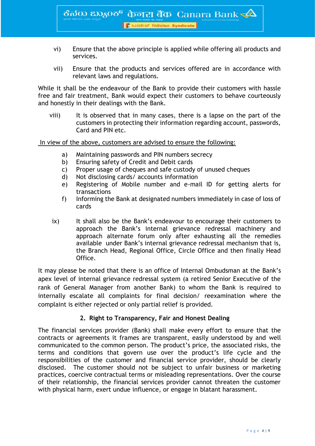ठैत $\rm{so}$   $\rm{z}$ छ $\rm{so}$  केनरा बैंक  $\rm{Canara}$  Bank  $\blacktriangle$ 

- । सैं 2003 स्थितिकेट Syndicate
- vi) Ensure that the above principle is applied while offering all products and services.
- vii) Ensure that the products and services offered are in accordance with relevant laws and regulations.

While it shall be the endeavour of the Bank to provide their customers with hassle free and fair treatment, Bank would expect their customers to behave courteously and honestly in their dealings with the Bank.

 viii) It is observed that in many cases, there is a lapse on the part of the customers in protecting their information regarding account, passwords, Card and PIN etc.

In view of the above, customers are advised to ensure the following:

- a) Maintaining passwords and PIN numbers secrecy
- b) Ensuring safety of Credit and Debit cards
- c) Proper usage of cheques and safe custody of unused cheques
- d) Not disclosing cards/ accounts information
- e) Registering of Mobile number and e-mail ID for getting alerts for transactions
- f) Informing the Bank at designated numbers immediately in case of loss of cards
- ix) It shall also be the Bank's endeavour to encourage their customers to approach the Bank's internal grievance redressal machinery and approach alternate forum only after exhausting all the remedies available under Bank's internal grievance redressal mechanism that is, the Branch Head, Regional Office, Circle Office and then finally Head Office.

It may please be noted that there is an office of Internal Ombudsman at the Bank's apex level of internal grievance redressal system (a retired Senior Executive of the rank of General Manager from another Bank) to whom the Bank is required to internally escalate all complaints for final decision/ reexamination where the complaint is either rejected or only partial relief is provided.

#### **2. Right to Transparency, Fair and Honest Dealing**

The financial services provider (Bank) shall make every effort to ensure that the contracts or agreements it frames are transparent, easily understood by and well communicated to the common person. The product's price, the associated risks, the terms and conditions that govern use over the product's life cycle and the responsibilities of the customer and financial service provider, should be clearly disclosed. The customer should not be subject to unfair business or marketing practices, coercive contractual terms or misleading representations. Over the course of their relationship, the financial services provider cannot threaten the customer with physical harm, exert undue influence, or engage in blatant harassment.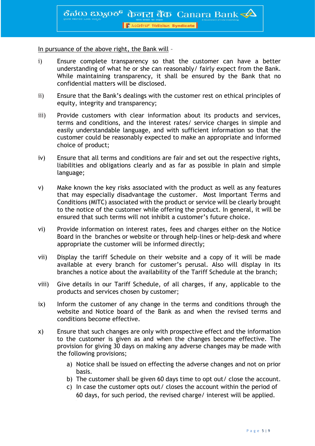In pursuance of the above right, the Bank will –

- i) Ensure complete transparency so that the customer can have a better understanding of what he or she can reasonably/ fairly expect from the Bank. While maintaining transparency, it shall be ensured by the Bank that no confidential matters will be disclosed.
- ii) Ensure that the Bank's dealings with the customer rest on ethical principles of equity, integrity and transparency;
- iii) Provide customers with clear information about its products and services, terms and conditions, and the interest rates/ service charges in simple and easily understandable language, and with sufficient information so that the customer could be reasonably expected to make an appropriate and informed choice of product;
- iv) Ensure that all terms and conditions are fair and set out the respective rights, liabilities and obligations clearly and as far as possible in plain and simple language;
- v) Make known the key risks associated with the product as well as any features that may especially disadvantage the customer. Most Important Terms and Conditions (MITC) associated with the product or service will be clearly brought to the notice of the customer while offering the product. In general, it will be ensured that such terms will not inhibit a customer's future choice.
- vi) Provide information on interest rates, fees and charges either on the Notice Board in the branches or website or through help-lines or help-desk and where appropriate the customer will be informed directly;
- vii) Display the tariff Schedule on their website and a copy of it will be made available at every branch for customer's perusal. Also will display in its branches a notice about the availability of the Tariff Schedule at the branch;
- viii) Give details in our Tariff Schedule, of all charges, if any, applicable to the products and services chosen by customer;
- ix) Inform the customer of any change in the terms and conditions through the website and Notice board of the Bank as and when the revised terms and conditions become effective.
- x) Ensure that such changes are only with prospective effect and the information to the customer is given as and when the changes become effective. The provision for giving 30 days on making any adverse changes may be made with the following provisions;
	- a) Notice shall be issued on effecting the adverse changes and not on prior basis.
	- b) The customer shall be given 60 days time to opt out/ close the account.
	- c) In case the customer opts out/ closes the account within the period of 60 days, for such period, the revised charge/ interest will be applied.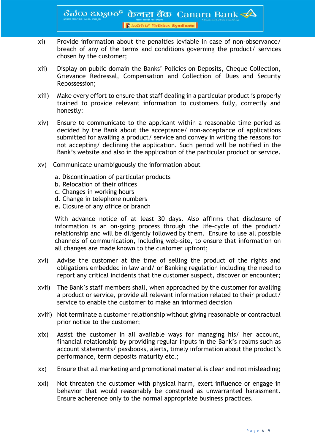ठैत $\rm{so}$   $\rm{z}$ क $\rm{o}$ ठ $\rm{e}$   $\,$  केनरा बैंक  $\,$  Canara Bank $\,\prec\!\!\Delta$ 

<mark>। हैं</mark> ೩೦ಡಿಕೇಟ್ सिंडिकेट Syndicate

- xi) Provide information about the penalties leviable in case of non-observance/ breach of any of the terms and conditions governing the product/ services chosen by the customer;
- xii) Display on public domain the Banks' Policies on Deposits, Cheque Collection, Grievance Redressal, Compensation and Collection of Dues and Security Repossession;
- xiii) Make every effort to ensure that staff dealing in a particular product is properly trained to provide relevant information to customers fully, correctly and honestly:
- xiv) Ensure to communicate to the applicant within a reasonable time period as decided by the Bank about the acceptance/ non-acceptance of applications submitted for availing a product/ service and convey in writing the reasons for not accepting/ declining the application. Such period will be notified in the Bank's website and also in the application of the particular product or service.
- xv) Communicate unambiguously the information about
	- a. Discontinuation of particular products
	- b. Relocation of their offices
	- c. Changes in working hours
	- d. Change in telephone numbers
	- e. Closure of any office or branch

With advance notice of at least 30 days. Also affirms that disclosure of information is an on-going process through the life-cycle of the product/ relationship and will be diligently followed by them. Ensure to use all possible channels of communication, including web-site, to ensure that information on all changes are made known to the customer upfront;

- xvi) Advise the customer at the time of selling the product of the rights and obligations embedded in law and/ or Banking regulation including the need to report any critical incidents that the customer suspect, discover or encounter;
- xvii) The Bank's staff members shall, when approached by the customer for availing a product or service, provide all relevant information related to their product/ service to enable the customer to make an informed decision
- xviii) Not terminate a customer relationship without giving reasonable or contractual prior notice to the customer;
- xix) Assist the customer in all available ways for managing his/ her account, financial relationship by providing regular inputs in the Bank's realms such as account statements/ passbooks, alerts, timely information about the product's performance, term deposits maturity etc.;
- xx) Ensure that all marketing and promotional material is clear and not misleading;
- xxi) Not threaten the customer with physical harm, exert influence or engage in behavior that would reasonably be construed as unwarranted harassment. Ensure adherence only to the normal appropriate business practices.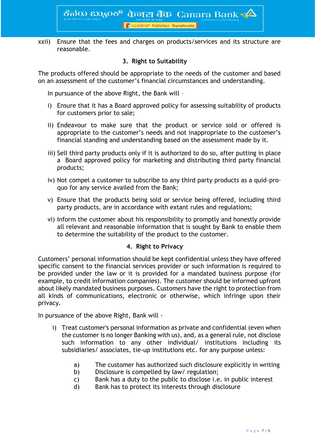ठैत $\rm{d}$ 00  $\rm{z}$ 030ठ $\rm{^6}$  केनरा बैंक Canara Bank  $\blacktriangle$ । ।<br>दी ೩०८३९४७ सिंडिकेट Syndicate

xxii) Ensure that the fees and charges on products/services and its structure are reasonable.

#### **3. Right to Suitability**

The products offered should be appropriate to the needs of the customer and based on an assessment of the customer's financial circumstances and understanding.

In pursuance of the above Right, the Bank will –

- i) Ensure that it has a Board approved policy for assessing suitability of products for customers prior to sale;
- ii) Endeavour to make sure that the product or service sold or offered is appropriate to the customer's needs and not inappropriate to the customer's financial standing and understanding based on the assessment made by it.
- iii) Sell third party products only if it is authorized to do so, after putting in place a Board approved policy for marketing and distributing third party financial products;
- iv) Not compel a customer to subscribe to any third party products as a quid-proquo for any service availed from the Bank;
- v) Ensure that the products being sold or service being offered, including third party products, are in accordance with extant rules and regulations;
- vi) Inform the customer about his responsibility to promptly and honestly provide all relevant and reasonable information that is sought by Bank to enable them to determine the suitability of the product to the customer.

#### **4. Right to Privacy**

Customers' personal information should be kept confidential unless they have offered specific consent to the financial services provider or such information is required to be provided under the law or it is provided for a mandated business purpose (for example, to credit information companies). The customer should be informed upfront about likely mandated business purposes. Customers have the right to protection from all kinds of communications, electronic or otherwise, which infringe upon their privacy.

In pursuance of the above Right, Bank will -

- i) Treat customer's personal information as private and confidential (even when the customer is no longer Banking with us), and, as a general rule, not disclose such information to any other individual/ institutions including its subsidiaries/ associates, tie-up institutions etc. for any purpose unless:
	- a) The customer has authorized such disclosure explicitly in writing
	- b) Disclosure is compelled by law/ regulation;
	- c) Bank has a duty to the public to disclose i.e. in public interest
	- d) Bank has to protect its interests through disclosure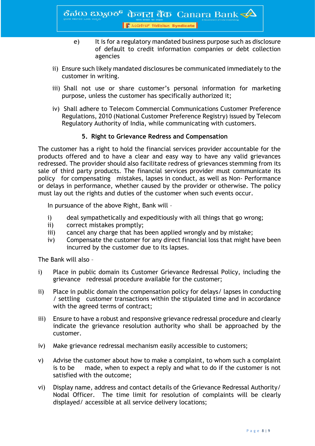- e) It is for a regulatory mandated business purpose such as disclosure of default to credit information companies or debt collection agencies
- ii) Ensure such likely mandated disclosures be communicated immediately to the customer in writing.
- iii) Shall not use or share customer's personal information for marketing purpose, unless the customer has specifically authorized it;
- iv) Shall adhere to Telecom Commercial Communications Customer Preference Regulations, 2010 (National Customer Preference Registry) issued by Telecom Regulatory Authority of India, while communicating with customers.

#### **5. Right to Grievance Redress and Compensation**

The customer has a right to hold the financial services provider accountable for the products offered and to have a clear and easy way to have any valid grievances redressed. The provider should also facilitate redress of grievances stemming from its sale of third party products. The financial services provider must communicate its policy for compensating mistakes, lapses in conduct, as well as Non- Performance or delays in performance, whether caused by the provider or otherwise. The policy must lay out the rights and duties of the customer when such events occur.

In pursuance of the above Right, Bank will –

- i) deal sympathetically and expeditiously with all things that go wrong;
- ii) correct mistakes promptly;
- iii) cancel any charge that has been applied wrongly and by mistake;
- iv) Compensate the customer for any direct financial loss that might have been incurred by the customer due to its lapses.

The Bank will also –

- i) Place in public domain its Customer Grievance Redressal Policy, including the grievance redressal procedure available for the customer;
- ii) Place in public domain the compensation policy for delays/ lapses in conducting / settling customer transactions within the stipulated time and in accordance with the agreed terms of contract;
- iii) Ensure to have a robust and responsive grievance redressal procedure and clearly indicate the grievance resolution authority who shall be approached by the customer.
- iv) Make grievance redressal mechanism easily accessible to customers;
- v) Advise the customer about how to make a complaint, to whom such a complaint is to be made, when to expect a reply and what to do if the customer is not satisfied with the outcome;
- vi) Display name, address and contact details of the Grievance Redressal Authority/ Nodal Officer. The time limit for resolution of complaints will be clearly displayed/ accessible at all service delivery locations;